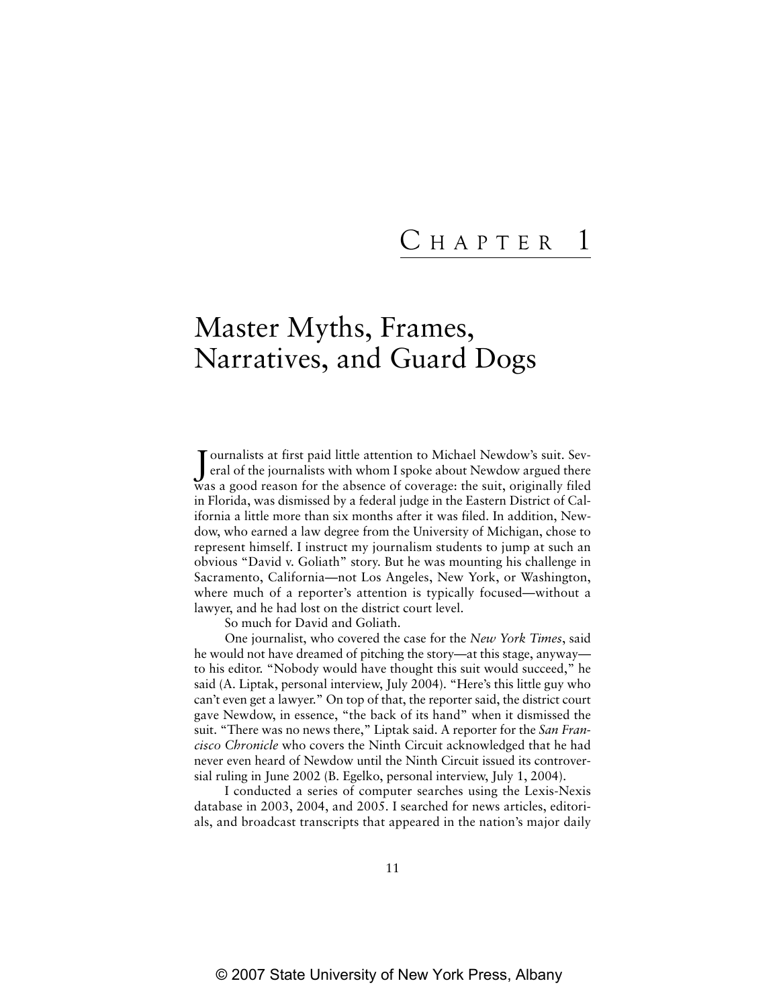## C HAPTER 1

# Master Myths, Frames, Narratives, and Guard Dogs

Journalists at first paid little attention to Michael Newdow's suit. Several of the journalists with whom I spoke about Newdow argued there ournalists at first paid little attention to Michael Newdow's suit. Sevwas a good reason for the absence of coverage: the suit, originally filed in Florida, was dismissed by a federal judge in the Eastern District of California a little more than six months after it was filed. In addition, Newdow, who earned a law degree from the University of Michigan, chose to represent himself. I instruct my journalism students to jump at such an obvious "David v. Goliath" story. But he was mounting his challenge in Sacramento, California—not Los Angeles, New York, or Washington, where much of a reporter's attention is typically focused—without a lawyer, and he had lost on the district court level.

So much for David and Goliath.

One journalist, who covered the case for the *New York Times*, said he would not have dreamed of pitching the story—at this stage, anyway to his editor. "Nobody would have thought this suit would succeed," he said (A. Liptak, personal interview, July 2004). "Here's this little guy who can't even get a lawyer." On top of that, the reporter said, the district court gave Newdow, in essence, "the back of its hand" when it dismissed the suit. "There was no news there," Liptak said. A reporter for the *San Francisco Chronicle* who covers the Ninth Circuit acknowledged that he had never even heard of Newdow until the Ninth Circuit issued its controversial ruling in June 2002 (B. Egelko, personal interview, July 1, 2004).

I conducted a series of computer searches using the Lexis-Nexis database in 2003, 2004, and 2005. I searched for news articles, editorials, and broadcast transcripts that appeared in the nation's major daily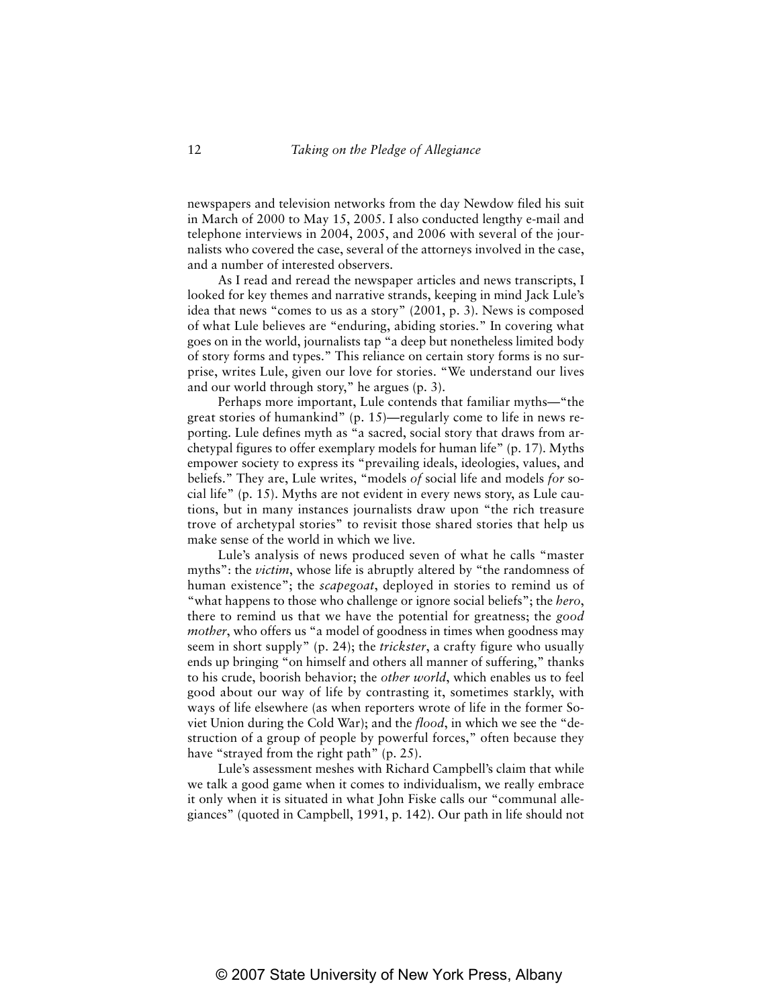newspapers and television networks from the day Newdow filed his suit in March of 2000 to May 15, 2005. I also conducted lengthy e-mail and telephone interviews in 2004, 2005, and 2006 with several of the journalists who covered the case, several of the attorneys involved in the case, and a number of interested observers.

As I read and reread the newspaper articles and news transcripts, I looked for key themes and narrative strands, keeping in mind Jack Lule's idea that news "comes to us as a story" (2001, p. 3). News is composed of what Lule believes are "enduring, abiding stories." In covering what goes on in the world, journalists tap "a deep but nonetheless limited body of story forms and types." This reliance on certain story forms is no surprise, writes Lule, given our love for stories. "We understand our lives and our world through story," he argues (p. 3).

Perhaps more important, Lule contends that familiar myths—"the great stories of humankind" (p. 15)—regularly come to life in news reporting. Lule defines myth as "a sacred, social story that draws from archetypal figures to offer exemplary models for human life" (p. 17). Myths empower society to express its "prevailing ideals, ideologies, values, and beliefs." They are, Lule writes, "models *of* social life and models *for* social life" (p. 15). Myths are not evident in every news story, as Lule cautions, but in many instances journalists draw upon "the rich treasure trove of archetypal stories" to revisit those shared stories that help us make sense of the world in which we live.

Lule's analysis of news produced seven of what he calls "master myths": the *victim*, whose life is abruptly altered by "the randomness of human existence"; the *scapegoat*, deployed in stories to remind us of "what happens to those who challenge or ignore social beliefs"; the *hero*, there to remind us that we have the potential for greatness; the *good mother*, who offers us "a model of goodness in times when goodness may seem in short supply" (p. 24); the *trickster*, a crafty figure who usually ends up bringing "on himself and others all manner of suffering," thanks to his crude, boorish behavior; the *other world*, which enables us to feel good about our way of life by contrasting it, sometimes starkly, with ways of life elsewhere (as when reporters wrote of life in the former Soviet Union during the Cold War); and the *flood*, in which we see the "destruction of a group of people by powerful forces," often because they have "strayed from the right path" (p. 25).

Lule's assessment meshes with Richard Campbell's claim that while we talk a good game when it comes to individualism, we really embrace it only when it is situated in what John Fiske calls our "communal allegiances" (quoted in Campbell, 1991, p. 142). Our path in life should not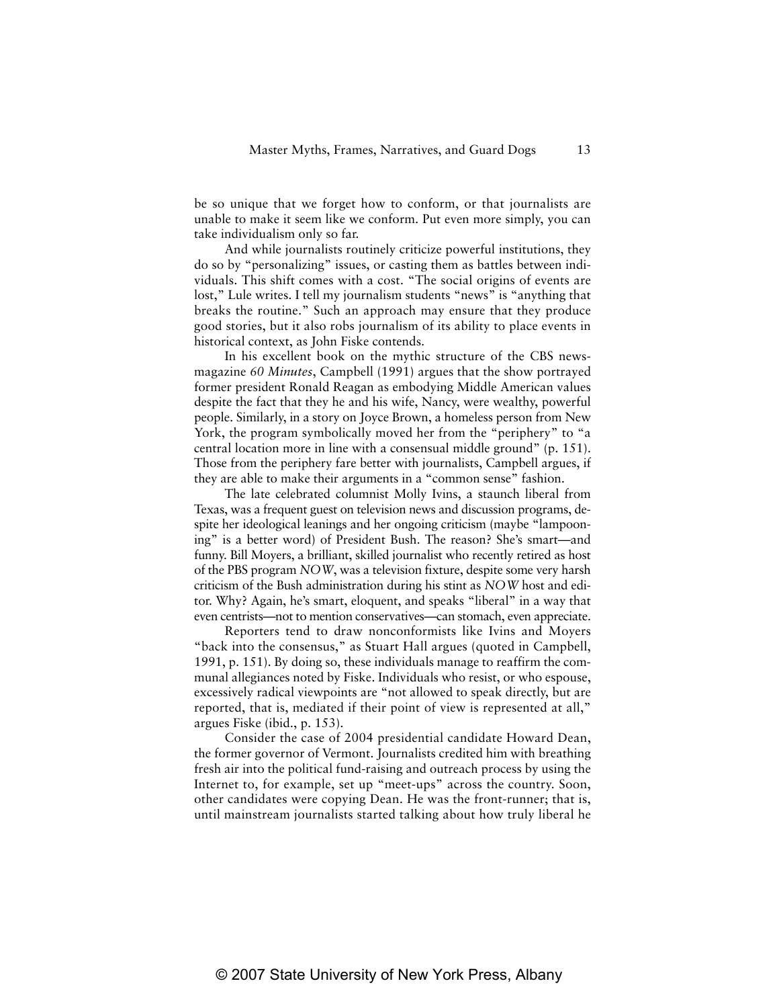be so unique that we forget how to conform, or that journalists are unable to make it seem like we conform. Put even more simply, you can take individualism only so far.

And while journalists routinely criticize powerful institutions, they do so by "personalizing" issues, or casting them as battles between individuals. This shift comes with a cost. "The social origins of events are lost," Lule writes. I tell my journalism students "news" is "anything that breaks the routine." Such an approach may ensure that they produce good stories, but it also robs journalism of its ability to place events in historical context, as John Fiske contends.

In his excellent book on the mythic structure of the CBS newsmagazine *60 Minutes*, Campbell (1991) argues that the show portrayed former president Ronald Reagan as embodying Middle American values despite the fact that they he and his wife, Nancy, were wealthy, powerful people. Similarly, in a story on Joyce Brown, a homeless person from New York, the program symbolically moved her from the "periphery" to "a central location more in line with a consensual middle ground" (p. 151). Those from the periphery fare better with journalists, Campbell argues, if they are able to make their arguments in a "common sense" fashion.

The late celebrated columnist Molly Ivins, a staunch liberal from Texas, was a frequent guest on television news and discussion programs, despite her ideological leanings and her ongoing criticism (maybe "lampooning" is a better word) of President Bush. The reason? She's smart—and funny. Bill Moyers, a brilliant, skilled journalist who recently retired as host of the PBS program *NOW*, was a television fixture, despite some very harsh criticism of the Bush administration during his stint as *NOW* host and editor. Why? Again, he's smart, eloquent, and speaks "liberal" in a way that even centrists—not to mention conservatives—can stomach, even appreciate.

Reporters tend to draw nonconformists like Ivins and Moyers "back into the consensus," as Stuart Hall argues (quoted in Campbell, 1991, p. 151). By doing so, these individuals manage to reaffirm the communal allegiances noted by Fiske. Individuals who resist, or who espouse, excessively radical viewpoints are "not allowed to speak directly, but are reported, that is, mediated if their point of view is represented at all," argues Fiske (ibid., p. 153).

Consider the case of 2004 presidential candidate Howard Dean, the former governor of Vermont. Journalists credited him with breathing fresh air into the political fund-raising and outreach process by using the Internet to, for example, set up "meet-ups" across the country. Soon, other candidates were copying Dean. He was the front-runner; that is, until mainstream journalists started talking about how truly liberal he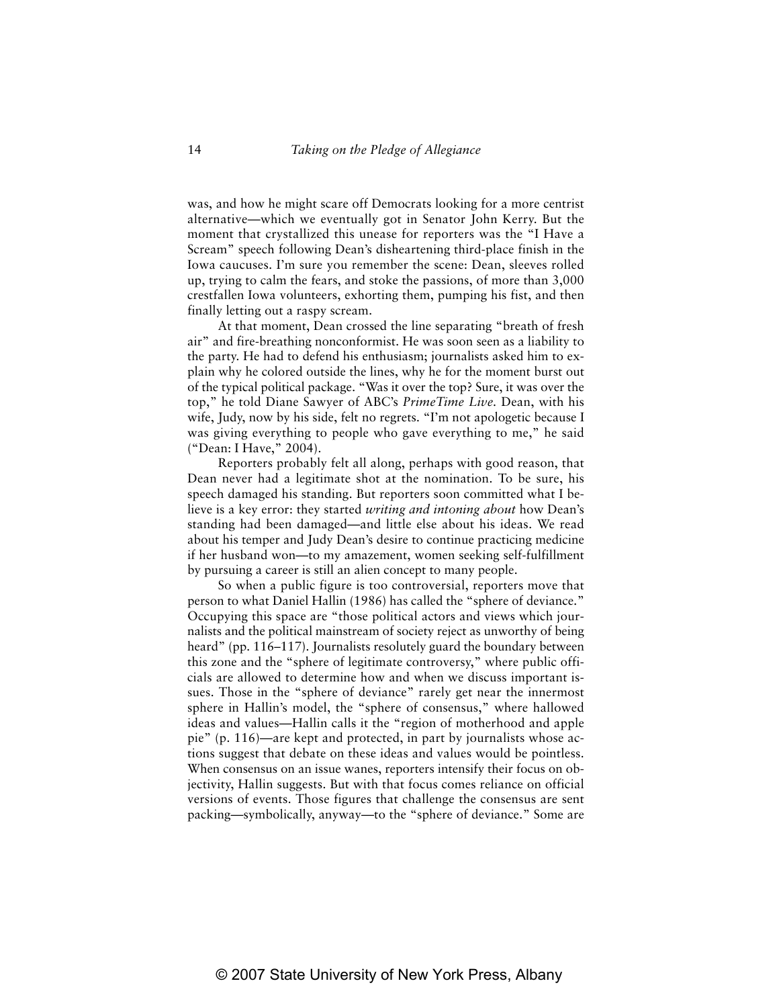was, and how he might scare off Democrats looking for a more centrist alternative—which we eventually got in Senator John Kerry. But the moment that crystallized this unease for reporters was the "I Have a Scream" speech following Dean's disheartening third-place finish in the Iowa caucuses. I'm sure you remember the scene: Dean, sleeves rolled up, trying to calm the fears, and stoke the passions, of more than 3,000 crestfallen Iowa volunteers, exhorting them, pumping his fist, and then finally letting out a raspy scream.

At that moment, Dean crossed the line separating "breath of fresh air" and fire-breathing nonconformist. He was soon seen as a liability to the party. He had to defend his enthusiasm; journalists asked him to explain why he colored outside the lines, why he for the moment burst out of the typical political package. "Was it over the top? Sure, it was over the top," he told Diane Sawyer of ABC's *PrimeTime Live.* Dean, with his wife, Judy, now by his side, felt no regrets. "I'm not apologetic because I was giving everything to people who gave everything to me," he said ("Dean: I Have," 2004).

Reporters probably felt all along, perhaps with good reason, that Dean never had a legitimate shot at the nomination. To be sure, his speech damaged his standing. But reporters soon committed what I believe is a key error: they started *writing and intoning about* how Dean's standing had been damaged—and little else about his ideas. We read about his temper and Judy Dean's desire to continue practicing medicine if her husband won—to my amazement, women seeking self-fulfillment by pursuing a career is still an alien concept to many people.

So when a public figure is too controversial, reporters move that person to what Daniel Hallin (1986) has called the "sphere of deviance." Occupying this space are "those political actors and views which journalists and the political mainstream of society reject as unworthy of being heard" (pp. 116–117). Journalists resolutely guard the boundary between this zone and the "sphere of legitimate controversy," where public officials are allowed to determine how and when we discuss important issues. Those in the "sphere of deviance" rarely get near the innermost sphere in Hallin's model, the "sphere of consensus," where hallowed ideas and values—Hallin calls it the "region of motherhood and apple pie" (p. 116)—are kept and protected, in part by journalists whose actions suggest that debate on these ideas and values would be pointless. When consensus on an issue wanes, reporters intensify their focus on objectivity, Hallin suggests. But with that focus comes reliance on official versions of events. Those figures that challenge the consensus are sent packing—symbolically, anyway—to the "sphere of deviance." Some are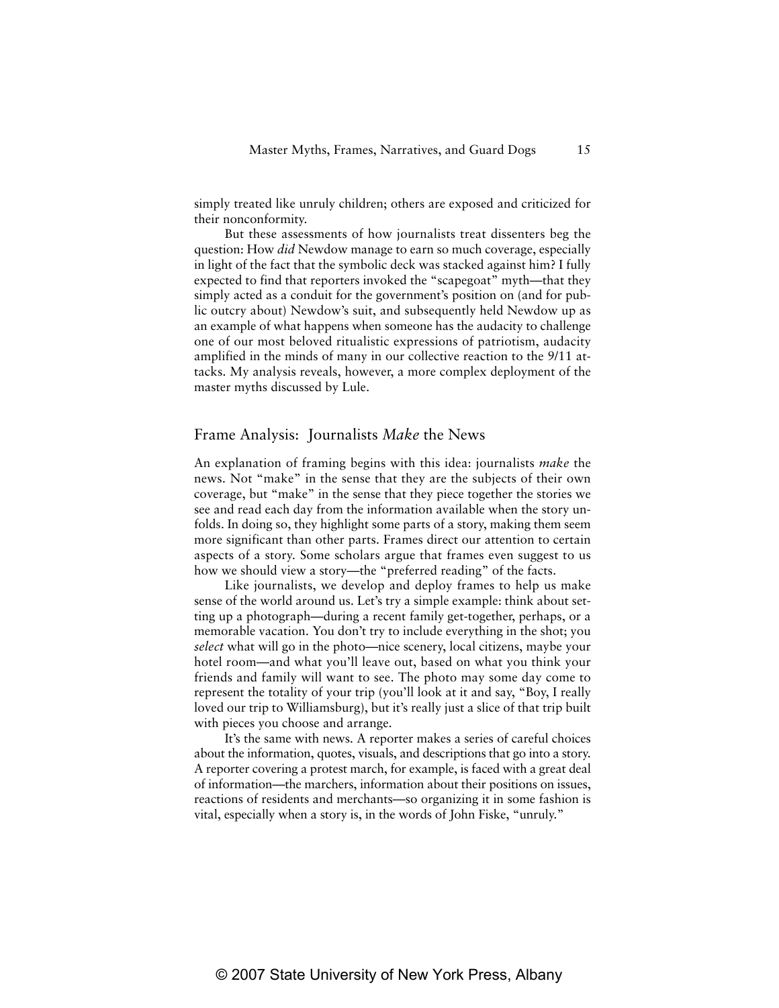simply treated like unruly children; others are exposed and criticized for their nonconformity.

But these assessments of how journalists treat dissenters beg the question: How *did* Newdow manage to earn so much coverage, especially in light of the fact that the symbolic deck was stacked against him? I fully expected to find that reporters invoked the "scapegoat" myth—that they simply acted as a conduit for the government's position on (and for public outcry about) Newdow's suit, and subsequently held Newdow up as an example of what happens when someone has the audacity to challenge one of our most beloved ritualistic expressions of patriotism, audacity amplified in the minds of many in our collective reaction to the 9/11 attacks. My analysis reveals, however, a more complex deployment of the master myths discussed by Lule.

#### Frame Analysis: Journalists *Make* the News

An explanation of framing begins with this idea: journalists *make* the news. Not "make" in the sense that they are the subjects of their own coverage, but "make" in the sense that they piece together the stories we see and read each day from the information available when the story unfolds. In doing so, they highlight some parts of a story, making them seem more significant than other parts. Frames direct our attention to certain aspects of a story. Some scholars argue that frames even suggest to us how we should view a story—the "preferred reading" of the facts.

Like journalists, we develop and deploy frames to help us make sense of the world around us. Let's try a simple example: think about setting up a photograph—during a recent family get-together, perhaps, or a memorable vacation. You don't try to include everything in the shot; you *select* what will go in the photo—nice scenery, local citizens, maybe your hotel room—and what you'll leave out, based on what you think your friends and family will want to see. The photo may some day come to represent the totality of your trip (you'll look at it and say, "Boy, I really loved our trip to Williamsburg), but it's really just a slice of that trip built with pieces you choose and arrange.

It's the same with news. A reporter makes a series of careful choices about the information, quotes, visuals, and descriptions that go into a story. A reporter covering a protest march, for example, is faced with a great deal of information—the marchers, information about their positions on issues, reactions of residents and merchants—so organizing it in some fashion is vital, especially when a story is, in the words of John Fiske, "unruly."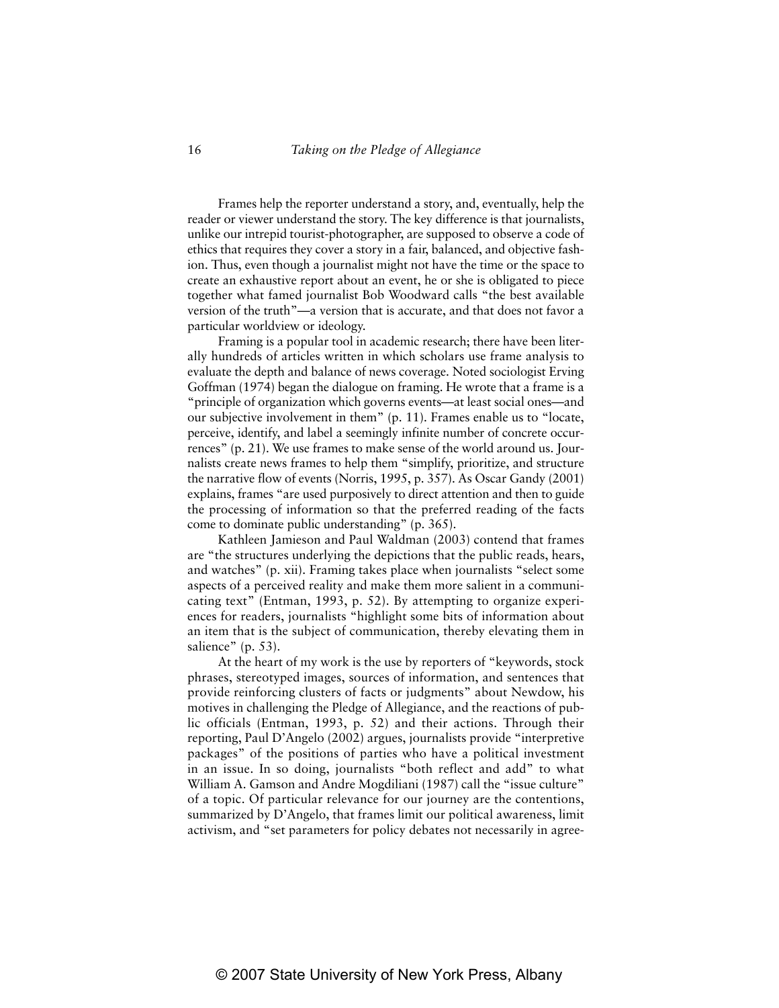Frames help the reporter understand a story, and, eventually, help the reader or viewer understand the story. The key difference is that journalists, unlike our intrepid tourist-photographer, are supposed to observe a code of ethics that requires they cover a story in a fair, balanced, and objective fashion. Thus, even though a journalist might not have the time or the space to create an exhaustive report about an event, he or she is obligated to piece together what famed journalist Bob Woodward calls "the best available version of the truth"—a version that is accurate, and that does not favor a particular worldview or ideology.

Framing is a popular tool in academic research; there have been literally hundreds of articles written in which scholars use frame analysis to evaluate the depth and balance of news coverage. Noted sociologist Erving Goffman (1974) began the dialogue on framing. He wrote that a frame is a "principle of organization which governs events—at least social ones—and our subjective involvement in them" (p. 11). Frames enable us to "locate, perceive, identify, and label a seemingly infinite number of concrete occurrences" (p. 21). We use frames to make sense of the world around us. Journalists create news frames to help them "simplify, prioritize, and structure the narrative flow of events (Norris, 1995, p. 357). As Oscar Gandy (2001) explains, frames "are used purposively to direct attention and then to guide the processing of information so that the preferred reading of the facts come to dominate public understanding" (p. 365).

Kathleen Jamieson and Paul Waldman (2003) contend that frames are "the structures underlying the depictions that the public reads, hears, and watches" (p. xii). Framing takes place when journalists "select some aspects of a perceived reality and make them more salient in a communicating text" (Entman, 1993, p. 52). By attempting to organize experiences for readers, journalists "highlight some bits of information about an item that is the subject of communication, thereby elevating them in salience" (p. 53).

At the heart of my work is the use by reporters of "keywords, stock phrases, stereotyped images, sources of information, and sentences that provide reinforcing clusters of facts or judgments" about Newdow, his motives in challenging the Pledge of Allegiance, and the reactions of public officials (Entman, 1993, p. 52) and their actions. Through their reporting, Paul D'Angelo (2002) argues, journalists provide "interpretive packages" of the positions of parties who have a political investment in an issue. In so doing, journalists "both reflect and add" to what William A. Gamson and Andre Mogdiliani (1987) call the "issue culture" of a topic. Of particular relevance for our journey are the contentions, summarized by D'Angelo, that frames limit our political awareness, limit activism, and "set parameters for policy debates not necessarily in agree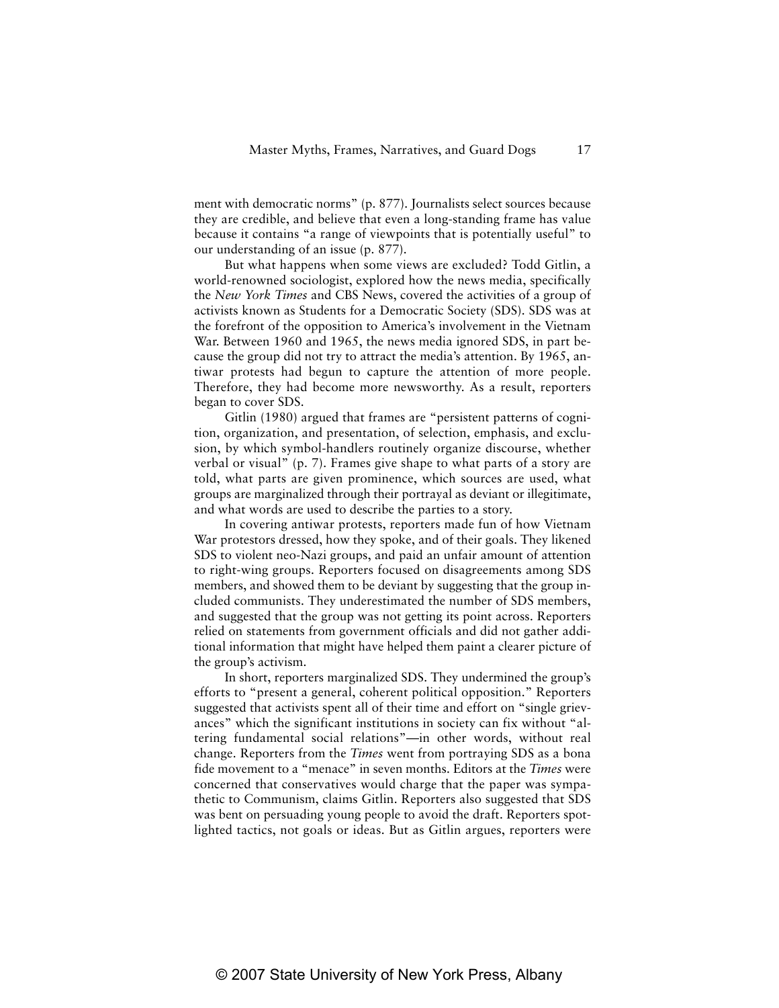ment with democratic norms" (p. 877). Journalists select sources because they are credible, and believe that even a long-standing frame has value because it contains "a range of viewpoints that is potentially useful" to our understanding of an issue (p. 877).

But what happens when some views are excluded? Todd Gitlin, a world-renowned sociologist, explored how the news media, specifically the *New York Times* and CBS News, covered the activities of a group of activists known as Students for a Democratic Society (SDS). SDS was at the forefront of the opposition to America's involvement in the Vietnam War. Between 1960 and 1965, the news media ignored SDS, in part because the group did not try to attract the media's attention. By 1965, antiwar protests had begun to capture the attention of more people. Therefore, they had become more newsworthy. As a result, reporters began to cover SDS.

Gitlin (1980) argued that frames are "persistent patterns of cognition, organization, and presentation, of selection, emphasis, and exclusion, by which symbol-handlers routinely organize discourse, whether verbal or visual" (p. 7). Frames give shape to what parts of a story are told, what parts are given prominence, which sources are used, what groups are marginalized through their portrayal as deviant or illegitimate, and what words are used to describe the parties to a story.

In covering antiwar protests, reporters made fun of how Vietnam War protestors dressed, how they spoke, and of their goals. They likened SDS to violent neo-Nazi groups, and paid an unfair amount of attention to right-wing groups. Reporters focused on disagreements among SDS members, and showed them to be deviant by suggesting that the group included communists. They underestimated the number of SDS members, and suggested that the group was not getting its point across. Reporters relied on statements from government officials and did not gather additional information that might have helped them paint a clearer picture of the group's activism.

In short, reporters marginalized SDS. They undermined the group's efforts to "present a general, coherent political opposition." Reporters suggested that activists spent all of their time and effort on "single grievances" which the significant institutions in society can fix without "altering fundamental social relations"—in other words, without real change. Reporters from the *Times* went from portraying SDS as a bona fide movement to a "menace" in seven months. Editors at the *Times* were concerned that conservatives would charge that the paper was sympathetic to Communism, claims Gitlin. Reporters also suggested that SDS was bent on persuading young people to avoid the draft. Reporters spotlighted tactics, not goals or ideas. But as Gitlin argues, reporters were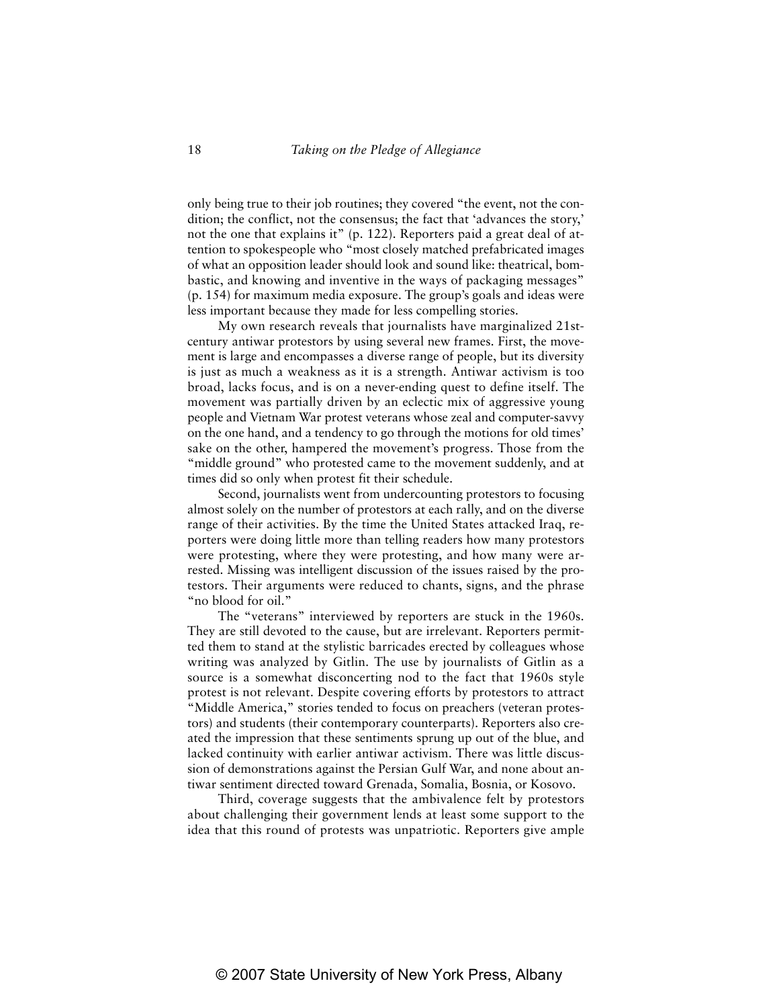only being true to their job routines; they covered "the event, not the condition; the conflict, not the consensus; the fact that 'advances the story,' not the one that explains it" (p. 122). Reporters paid a great deal of attention to spokespeople who "most closely matched prefabricated images of what an opposition leader should look and sound like: theatrical, bombastic, and knowing and inventive in the ways of packaging messages" (p. 154) for maximum media exposure. The group's goals and ideas were less important because they made for less compelling stories.

My own research reveals that journalists have marginalized 21stcentury antiwar protestors by using several new frames. First, the movement is large and encompasses a diverse range of people, but its diversity is just as much a weakness as it is a strength. Antiwar activism is too broad, lacks focus, and is on a never-ending quest to define itself. The movement was partially driven by an eclectic mix of aggressive young people and Vietnam War protest veterans whose zeal and computer-savvy on the one hand, and a tendency to go through the motions for old times' sake on the other, hampered the movement's progress. Those from the "middle ground" who protested came to the movement suddenly, and at times did so only when protest fit their schedule.

Second, journalists went from undercounting protestors to focusing almost solely on the number of protestors at each rally, and on the diverse range of their activities. By the time the United States attacked Iraq, reporters were doing little more than telling readers how many protestors were protesting, where they were protesting, and how many were arrested. Missing was intelligent discussion of the issues raised by the protestors. Their arguments were reduced to chants, signs, and the phrase "no blood for oil."

The "veterans" interviewed by reporters are stuck in the 1960s. They are still devoted to the cause, but are irrelevant. Reporters permitted them to stand at the stylistic barricades erected by colleagues whose writing was analyzed by Gitlin. The use by journalists of Gitlin as a source is a somewhat disconcerting nod to the fact that 1960s style protest is not relevant. Despite covering efforts by protestors to attract "Middle America," stories tended to focus on preachers (veteran protestors) and students (their contemporary counterparts). Reporters also created the impression that these sentiments sprung up out of the blue, and lacked continuity with earlier antiwar activism. There was little discussion of demonstrations against the Persian Gulf War, and none about antiwar sentiment directed toward Grenada, Somalia, Bosnia, or Kosovo.

Third, coverage suggests that the ambivalence felt by protestors about challenging their government lends at least some support to the idea that this round of protests was unpatriotic. Reporters give ample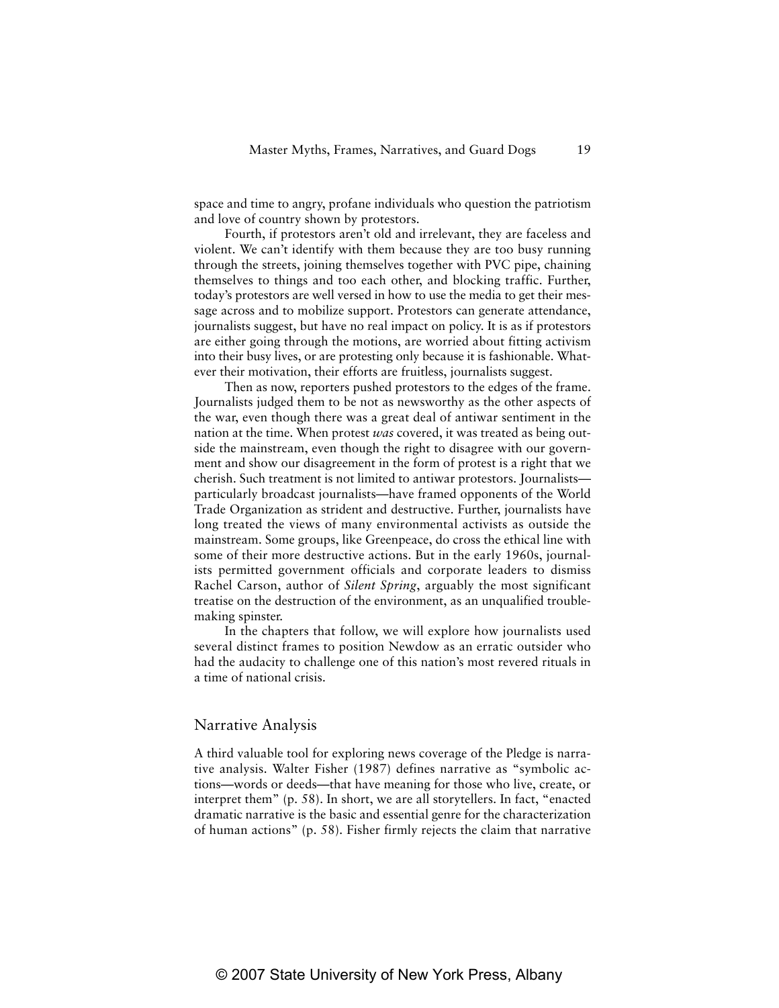space and time to angry, profane individuals who question the patriotism and love of country shown by protestors.

Fourth, if protestors aren't old and irrelevant, they are faceless and violent. We can't identify with them because they are too busy running through the streets, joining themselves together with PVC pipe, chaining themselves to things and too each other, and blocking traffic. Further, today's protestors are well versed in how to use the media to get their message across and to mobilize support. Protestors can generate attendance, journalists suggest, but have no real impact on policy. It is as if protestors are either going through the motions, are worried about fitting activism into their busy lives, or are protesting only because it is fashionable. Whatever their motivation, their efforts are fruitless, journalists suggest.

Then as now, reporters pushed protestors to the edges of the frame. Journalists judged them to be not as newsworthy as the other aspects of the war, even though there was a great deal of antiwar sentiment in the nation at the time. When protest *was* covered, it was treated as being outside the mainstream, even though the right to disagree with our government and show our disagreement in the form of protest is a right that we cherish. Such treatment is not limited to antiwar protestors. Journalists particularly broadcast journalists—have framed opponents of the World Trade Organization as strident and destructive. Further, journalists have long treated the views of many environmental activists as outside the mainstream. Some groups, like Greenpeace, do cross the ethical line with some of their more destructive actions. But in the early 1960s, journalists permitted government officials and corporate leaders to dismiss Rachel Carson, author of *Silent Spring*, arguably the most significant treatise on the destruction of the environment, as an unqualified troublemaking spinster.

In the chapters that follow, we will explore how journalists used several distinct frames to position Newdow as an erratic outsider who had the audacity to challenge one of this nation's most revered rituals in a time of national crisis.

#### Narrative Analysis

A third valuable tool for exploring news coverage of the Pledge is narrative analysis. Walter Fisher (1987) defines narrative as "symbolic actions—words or deeds—that have meaning for those who live, create, or interpret them" (p. 58). In short, we are all storytellers. In fact, "enacted dramatic narrative is the basic and essential genre for the characterization of human actions" (p. 58). Fisher firmly rejects the claim that narrative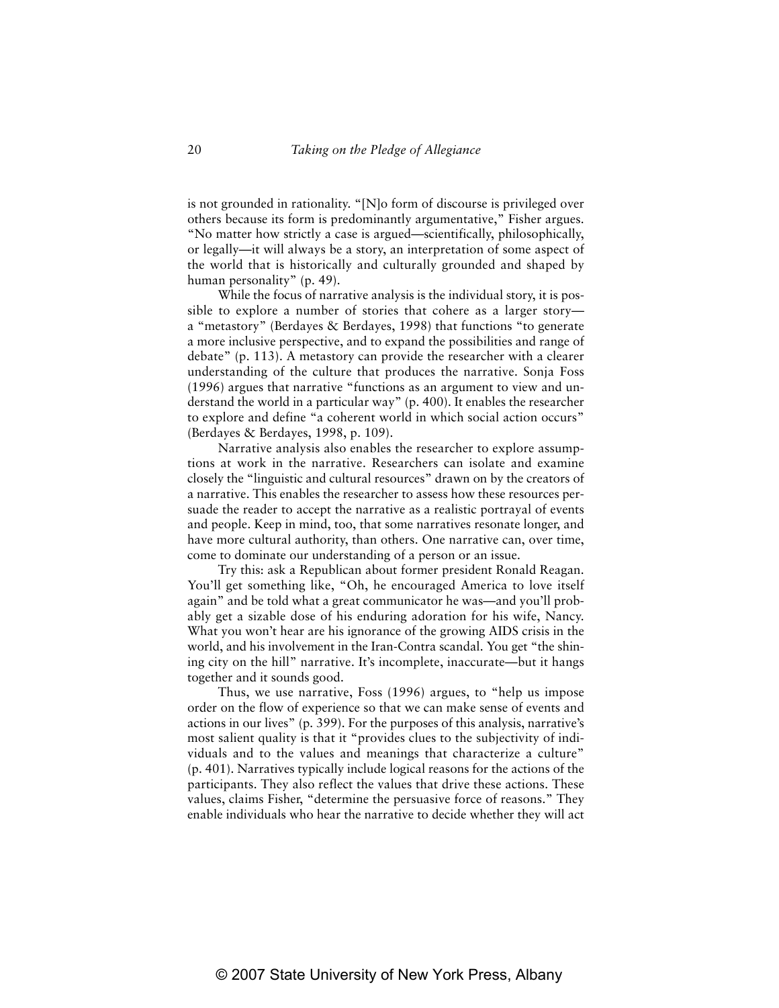is not grounded in rationality. "[N]o form of discourse is privileged over others because its form is predominantly argumentative," Fisher argues. "No matter how strictly a case is argued—scientifically, philosophically, or legally—it will always be a story, an interpretation of some aspect of the world that is historically and culturally grounded and shaped by human personality" (p. 49).

While the focus of narrative analysis is the individual story, it is possible to explore a number of stories that cohere as a larger story a "metastory" (Berdayes & Berdayes, 1998) that functions "to generate a more inclusive perspective, and to expand the possibilities and range of debate" (p. 113). A metastory can provide the researcher with a clearer understanding of the culture that produces the narrative. Sonja Foss (1996) argues that narrative "functions as an argument to view and understand the world in a particular way" (p. 400). It enables the researcher to explore and define "a coherent world in which social action occurs" (Berdayes & Berdayes, 1998, p. 109).

Narrative analysis also enables the researcher to explore assumptions at work in the narrative. Researchers can isolate and examine closely the "linguistic and cultural resources" drawn on by the creators of a narrative. This enables the researcher to assess how these resources persuade the reader to accept the narrative as a realistic portrayal of events and people. Keep in mind, too, that some narratives resonate longer, and have more cultural authority, than others. One narrative can, over time, come to dominate our understanding of a person or an issue.

Try this: ask a Republican about former president Ronald Reagan. You'll get something like, "Oh, he encouraged America to love itself again" and be told what a great communicator he was—and you'll probably get a sizable dose of his enduring adoration for his wife, Nancy. What you won't hear are his ignorance of the growing AIDS crisis in the world, and his involvement in the Iran-Contra scandal. You get "the shining city on the hill" narrative. It's incomplete, inaccurate—but it hangs together and it sounds good.

Thus, we use narrative, Foss (1996) argues, to "help us impose order on the flow of experience so that we can make sense of events and actions in our lives" (p. 399). For the purposes of this analysis, narrative's most salient quality is that it "provides clues to the subjectivity of individuals and to the values and meanings that characterize a culture" (p. 401). Narratives typically include logical reasons for the actions of the participants. They also reflect the values that drive these actions. These values, claims Fisher, "determine the persuasive force of reasons." They enable individuals who hear the narrative to decide whether they will act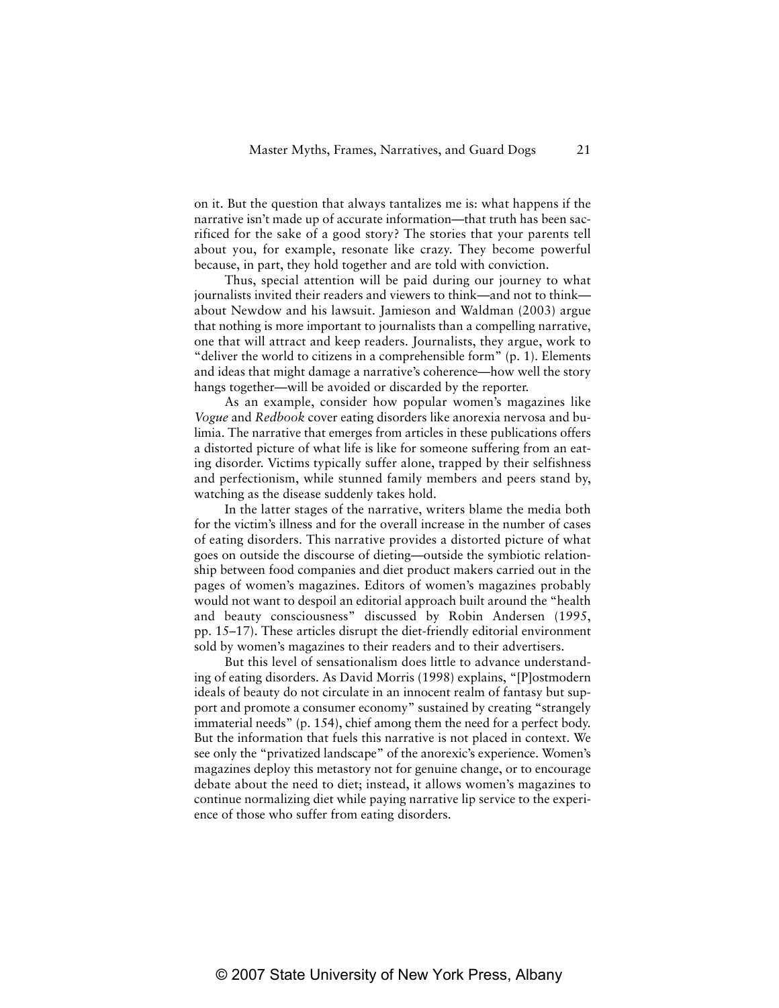on it. But the question that always tantalizes me is: what happens if the narrative isn't made up of accurate information—that truth has been sacrificed for the sake of a good story? The stories that your parents tell about you, for example, resonate like crazy. They become powerful because, in part, they hold together and are told with conviction.

Thus, special attention will be paid during our journey to what journalists invited their readers and viewers to think—and not to think about Newdow and his lawsuit. Jamieson and Waldman (2003) argue that nothing is more important to journalists than a compelling narrative, one that will attract and keep readers. Journalists, they argue, work to "deliver the world to citizens in a comprehensible form" (p. 1). Elements and ideas that might damage a narrative's coherence—how well the story hangs together—will be avoided or discarded by the reporter.

As an example, consider how popular women's magazines like *Vogue* and *Redbook* cover eating disorders like anorexia nervosa and bulimia. The narrative that emerges from articles in these publications offers a distorted picture of what life is like for someone suffering from an eating disorder. Victims typically suffer alone, trapped by their selfishness and perfectionism, while stunned family members and peers stand by, watching as the disease suddenly takes hold.

In the latter stages of the narrative, writers blame the media both for the victim's illness and for the overall increase in the number of cases of eating disorders. This narrative provides a distorted picture of what goes on outside the discourse of dieting—outside the symbiotic relationship between food companies and diet product makers carried out in the pages of women's magazines. Editors of women's magazines probably would not want to despoil an editorial approach built around the "health and beauty consciousness" discussed by Robin Andersen (1995, pp. 15–17). These articles disrupt the diet-friendly editorial environment sold by women's magazines to their readers and to their advertisers.

But this level of sensationalism does little to advance understanding of eating disorders. As David Morris (1998) explains, "[P]ostmodern ideals of beauty do not circulate in an innocent realm of fantasy but support and promote a consumer economy" sustained by creating "strangely immaterial needs" (p. 154), chief among them the need for a perfect body. But the information that fuels this narrative is not placed in context. We see only the "privatized landscape" of the anorexic's experience. Women's magazines deploy this metastory not for genuine change, or to encourage debate about the need to diet; instead, it allows women's magazines to continue normalizing diet while paying narrative lip service to the experience of those who suffer from eating disorders.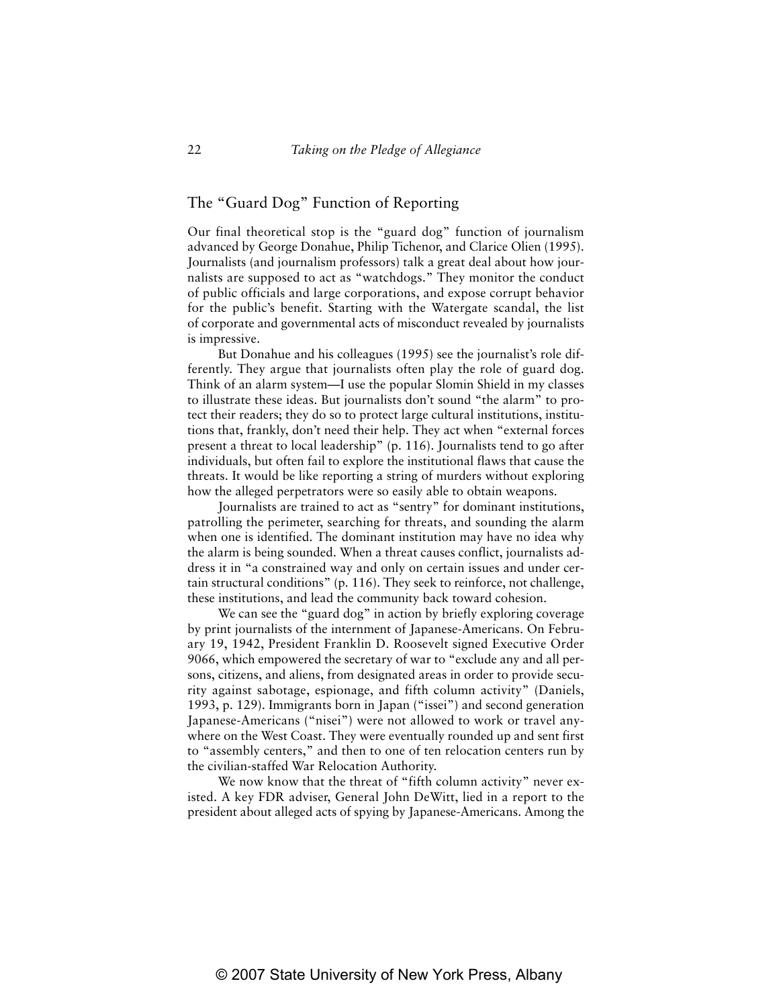### The "Guard Dog" Function of Reporting

Our final theoretical stop is the "guard dog" function of journalism advanced by George Donahue, Philip Tichenor, and Clarice Olien (1995). Journalists (and journalism professors) talk a great deal about how journalists are supposed to act as "watchdogs." They monitor the conduct of public officials and large corporations, and expose corrupt behavior for the public's benefit. Starting with the Watergate scandal, the list of corporate and governmental acts of misconduct revealed by journalists is impressive.

But Donahue and his colleagues (1995) see the journalist's role differently. They argue that journalists often play the role of guard dog. Think of an alarm system—I use the popular Slomin Shield in my classes to illustrate these ideas. But journalists don't sound "the alarm" to protect their readers; they do so to protect large cultural institutions, institutions that, frankly, don't need their help. They act when "external forces present a threat to local leadership" (p. 116). Journalists tend to go after individuals, but often fail to explore the institutional flaws that cause the threats. It would be like reporting a string of murders without exploring how the alleged perpetrators were so easily able to obtain weapons.

Journalists are trained to act as "sentry" for dominant institutions, patrolling the perimeter, searching for threats, and sounding the alarm when one is identified. The dominant institution may have no idea why the alarm is being sounded. When a threat causes conflict, journalists address it in "a constrained way and only on certain issues and under certain structural conditions" (p. 116). They seek to reinforce, not challenge, these institutions, and lead the community back toward cohesion.

We can see the "guard dog" in action by briefly exploring coverage by print journalists of the internment of Japanese-Americans. On February 19, 1942, President Franklin D. Roosevelt signed Executive Order 9066, which empowered the secretary of war to "exclude any and all persons, citizens, and aliens, from designated areas in order to provide security against sabotage, espionage, and fifth column activity" (Daniels, 1993, p. 129). Immigrants born in Japan ("issei") and second generation Japanese-Americans ("nisei") were not allowed to work or travel anywhere on the West Coast. They were eventually rounded up and sent first to "assembly centers," and then to one of ten relocation centers run by the civilian-staffed War Relocation Authority.

We now know that the threat of "fifth column activity" never existed. A key FDR adviser, General John DeWitt, lied in a report to the president about alleged acts of spying by Japanese-Americans. Among the